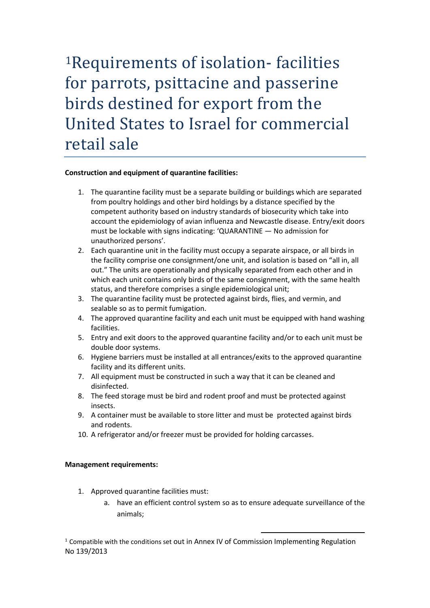[1](#page-0-0)Requirements of isolation- facilities for parrots, psittacine and passerine birds destined for export from the United States to Israel for commercial retail sale

## **Construction and equipment of quarantine facilities:**

- 1. The quarantine facility must be a separate building or buildings which are separated from poultry holdings and other bird holdings by a distance specified by the competent authority based on industry standards of biosecurity which take into account the epidemiology of avian influenza and Newcastle disease. Entry/exit doors must be lockable with signs indicating: 'QUARANTINE — No admission for unauthorized persons'.
- 2. Each quarantine unit in the facility must occupy a separate airspace, or all birds in the facility comprise one consignment/one unit, and isolation is based on "all in, all out." The units are operationally and physically separated from each other and in which each unit contains only birds of the same consignment, with the same health status, and therefore comprises a single epidemiological unit;
- 3. The quarantine facility must be protected against birds, flies, and vermin, and sealable so as to permit fumigation.
- 4. The approved quarantine facility and each unit must be equipped with hand washing facilities.
- 5. Entry and exit doors to the approved quarantine facility and/or to each unit must be double door systems.
- 6. Hygiene barriers must be installed at all entrances/exits to the approved quarantine facility and its different units.
- 7. All equipment must be constructed in such a way that it can be cleaned and disinfected.
- 8. The feed storage must be bird and rodent proof and must be protected against insects.
- 9. A container must be available to store litter and must be protected against birds and rodents.
- 10. A refrigerator and/or freezer must be provided for holding carcasses.

## **Management requirements:**

- 1. Approved quarantine facilities must:
	- a. have an efficient control system so as to ensure adequate surveillance of the animals;

<span id="page-0-0"></span> $1$  Compatible with the conditions set out in Annex IV of Commission Implementing Regulation No 139/2013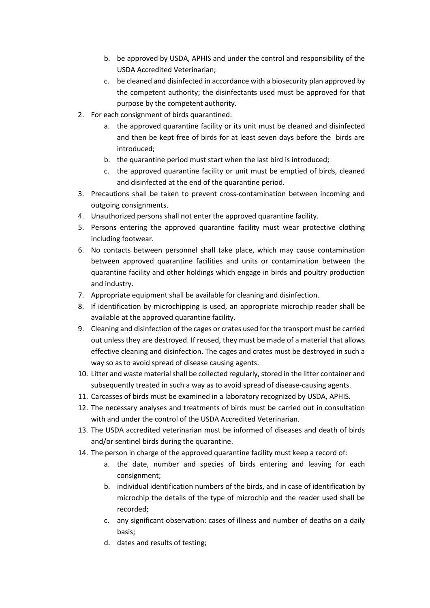- b. be approved by USDA, APHIS and under the control and responsibility of the USDA Accredited Veterinarian;
- c. be cleaned and disinfected in accordance with a biosecurity plan approved by the competent authority; the disinfectants used must be approved for that purpose by the competent authority.
- 2. For each consignment of birds quarantined:
	- a. the approved quarantine facility or its unit must be cleaned and disinfected and then be kept free of birds for at least seven days before the birds are introduced;
	- b. the quarantine period must start when the last bird is introduced;
	- c. the approved quarantine facility or unit must be emptied of birds, cleaned and disinfected at the end of the quarantine period.
- 3. Precautions shall be taken to prevent cross-contamination between incoming and outgoing consignments.
- 4. Unauthorized persons shall not enter the approved quarantine facility.
- 5. Persons entering the approved quarantine facility must wear protective clothing including footwear.
- 6. No contacts between personnel shall take place, which may cause contamination between approved quarantine facilities and units or contamination between the quarantine facility and other holdings which engage in birds and poultry production and industry.
- 7. Appropriate equipment shall be available for cleaning and disinfection.
- 8. If identification by microchipping is used, an appropriate microchip reader shall be available at the approved quarantine facility.
- 9. Cleaning and disinfection of the cages or crates used for the transport must be carried out unless they are destroyed. If reused, they must be made of a material that allows effective cleaning and disinfection. The cages and crates must be destroyed in such a way so as to avoid spread of disease causing agents.
- 10. Litter and waste material shall be collected regularly, stored in the litter container and subsequently treated in such a way as to avoid spread of disease-causing agents.
- 11. Carcasses of birds must be examined in a laboratory recognized by USDA, APHIS.
- 12. The necessary analyses and treatments of birds must be carried out in consultation with and under the control of the USDA Accredited Veterinarian.
- 13. The USDA accredited veterinarian must be informed of diseases and death of birds and/or sentinel birds during the quarantine.
- 14. The person in charge of the approved quarantine facility must keep a record of:
	- a. the date, number and species of birds entering and leaving for each consignment;
	- b. individual identification numbers of the birds, and in case of identification by microchip the details of the type of microchip and the reader used shall be recorded;
	- c. any significant observation: cases of illness and number of deaths on a daily basis;
	- d. dates and results of testing;